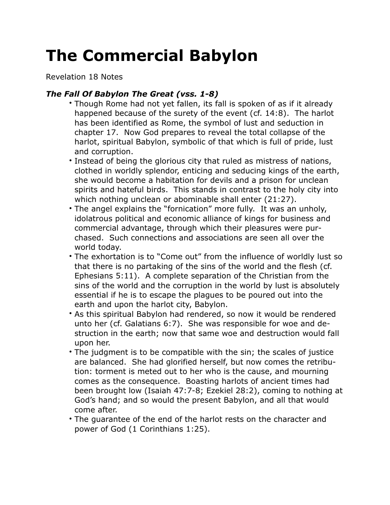## **The Commercial Babylon**

Revelation 18 Notes

## *The Fall Of Babylon The Great (vss. 1-8)*

- Though Rome had not yet fallen, its fall is spoken of as if it already happened because of the surety of the event (cf. 14:8). The harlot has been identified as Rome, the symbol of lust and seduction in chapter 17. Now God prepares to reveal the total collapse of the harlot, spiritual Babylon, symbolic of that which is full of pride, lust and corruption.
- Instead of being the glorious city that ruled as mistress of nations, clothed in worldly splendor, enticing and seducing kings of the earth, she would become a habitation for devils and a prison for unclean spirits and hateful birds. This stands in contrast to the holy city into which nothing unclean or abominable shall enter (21:27).
- The angel explains the "fornication" more fully. It was an unholy, idolatrous political and economic alliance of kings for business and commercial advantage, through which their pleasures were purchased. Such connections and associations are seen all over the world today.
- The exhortation is to "Come out" from the influence of worldly lust so that there is no partaking of the sins of the world and the flesh (cf. Ephesians 5:11). A complete separation of the Christian from the sins of the world and the corruption in the world by lust is absolutely essential if he is to escape the plagues to be poured out into the earth and upon the harlot city, Babylon.
- As this spiritual Babylon had rendered, so now it would be rendered unto her (cf. Galatians 6:7). She was responsible for woe and destruction in the earth; now that same woe and destruction would fall upon her.
- The judgment is to be compatible with the sin; the scales of justice are balanced. She had glorified herself, but now comes the retribution: torment is meted out to her who is the cause, and mourning comes as the consequence. Boasting harlots of ancient times had been brought low (Isaiah 47:7-8; Ezekiel 28:2), coming to nothing at God's hand; and so would the present Babylon, and all that would come after.
- The guarantee of the end of the harlot rests on the character and power of God (1 Corinthians 1:25).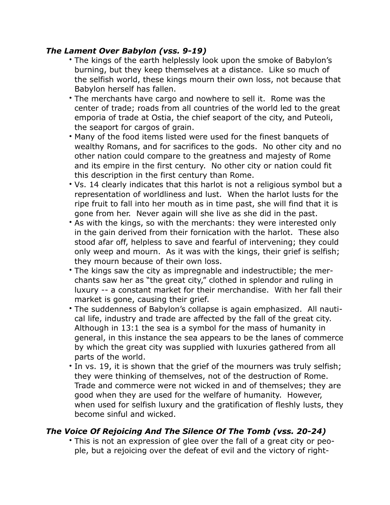## *The Lament Over Babylon (vss. 9-19)*

- The kings of the earth helplessly look upon the smoke of Babylon's burning, but they keep themselves at a distance. Like so much of the selfish world, these kings mourn their own loss, not because that Babylon herself has fallen.
- The merchants have cargo and nowhere to sell it. Rome was the center of trade; roads from all countries of the world led to the great emporia of trade at Ostia, the chief seaport of the city, and Puteoli, the seaport for cargos of grain.
- Many of the food items listed were used for the finest banquets of wealthy Romans, and for sacrifices to the gods. No other city and no other nation could compare to the greatness and majesty of Rome and its empire in the first century. No other city or nation could fit this description in the first century than Rome.
- Vs. 14 clearly indicates that this harlot is not a religious symbol but a representation of worldliness and lust. When the harlot lusts for the ripe fruit to fall into her mouth as in time past, she will find that it is gone from her. Never again will she live as she did in the past.
- As with the kings, so with the merchants: they were interested only in the gain derived from their fornication with the harlot. These also stood afar off, helpless to save and fearful of intervening; they could only weep and mourn. As it was with the kings, their grief is selfish; they mourn because of their own loss.
- The kings saw the city as impregnable and indestructible; the merchants saw her as "the great city," clothed in splendor and ruling in luxury -- a constant market for their merchandise. With her fall their market is gone, causing their grief.
- The suddenness of Babylon's collapse is again emphasized. All nautical life, industry and trade are affected by the fall of the great city. Although in 13:1 the sea is a symbol for the mass of humanity in general, in this instance the sea appears to be the lanes of commerce by which the great city was supplied with luxuries gathered from all parts of the world.
- In vs. 19, it is shown that the grief of the mourners was truly selfish; they were thinking of themselves, not of the destruction of Rome. Trade and commerce were not wicked in and of themselves; they are good when they are used for the welfare of humanity. However, when used for selfish luxury and the gratification of fleshly lusts, they become sinful and wicked.

## *The Voice Of Rejoicing And The Silence Of The Tomb (vss. 20-24)*

• This is not an expression of glee over the fall of a great city or people, but a rejoicing over the defeat of evil and the victory of right-